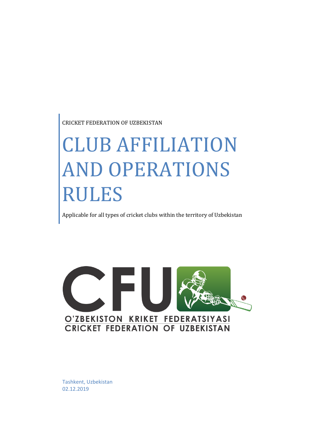CRICKET FEDERATION OF UZBEKISTAN

# CLUB AFFILIATION AND OPERATIONS RULES

Applicable for all types of cricket clubs within the territory of Uzbekistan



Tashkent, Uzbekistan 02.12.2019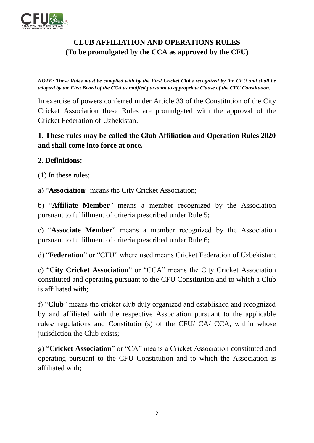

## **CLUB AFFILIATION AND OPERATIONS RULES (To be promulgated by the CCA as approved by the CFU)**

*NOTE: These Rules must be complied with by the First Cricket Clubs recognized by the CFU and shall be adopted by the First Board of the CCA as notified pursuant to appropriate Clause of the CFU Constitution.*

In exercise of powers conferred under Article 33 of the Constitution of the City Cricket Association these Rules are promulgated with the approval of the Cricket Federation of Uzbekistan.

## **1. These rules may be called the Club Affiliation and Operation Rules 2020 and shall come into force at once.**

### **2. Definitions:**

(1) In these rules;

a) "**Association**" means the City Cricket Association;

b) "**Affiliate Member**" means a member recognized by the Association pursuant to fulfillment of criteria prescribed under Rule 5;

c) "**Associate Member**" means a member recognized by the Association pursuant to fulfillment of criteria prescribed under Rule 6;

d) "**Federation**" or "CFU" where used means Cricket Federation of Uzbekistan;

e) "**City Cricket Association**" or "CCA" means the City Cricket Association constituted and operating pursuant to the CFU Constitution and to which a Club is affiliated with;

f) "**Club**" means the cricket club duly organized and established and recognized by and affiliated with the respective Association pursuant to the applicable rules/ regulations and Constitution(s) of the CFU/ CA/ CCA, within whose jurisdiction the Club exists;

g) "**Cricket Association**" or "CA" means a Cricket Association constituted and operating pursuant to the CFU Constitution and to which the Association is affiliated with;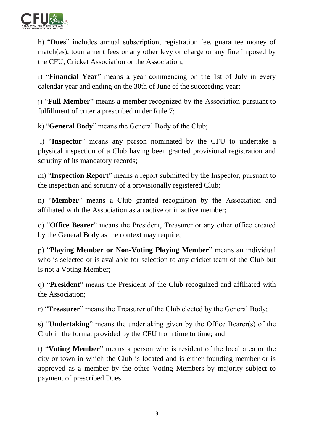

h) "**Dues**" includes annual subscription, registration fee, guarantee money of match(es), tournament fees or any other levy or charge or any fine imposed by the CFU, Cricket Association or the Association;

i) "**Financial Year**" means a year commencing on the 1st of July in every calendar year and ending on the 30th of June of the succeeding year;

j) "**Full Member**" means a member recognized by the Association pursuant to fulfillment of criteria prescribed under Rule 7;

k) "**General Body**" means the General Body of the Club;

l) "**Inspector**" means any person nominated by the CFU to undertake a physical inspection of a Club having been granted provisional registration and scrutiny of its mandatory records;

m) "**Inspection Report**" means a report submitted by the Inspector, pursuant to the inspection and scrutiny of a provisionally registered Club;

n) "**Member**" means a Club granted recognition by the Association and affiliated with the Association as an active or in active member;

o) "**Office Bearer**" means the President, Treasurer or any other office created by the General Body as the context may require;

p) "**Playing Member or Non-Voting Playing Member**" means an individual who is selected or is available for selection to any cricket team of the Club but is not a Voting Member;

q) "**President**" means the President of the Club recognized and affiliated with the Association;

r) "**Treasurer**" means the Treasurer of the Club elected by the General Body;

s) "**Undertaking**" means the undertaking given by the Office Bearer(s) of the Club in the format provided by the CFU from time to time; and

t) "**Voting Member**" means a person who is resident of the local area or the city or town in which the Club is located and is either founding member or is approved as a member by the other Voting Members by majority subject to payment of prescribed Dues.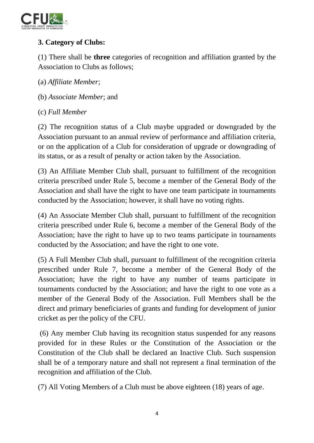

## **3. Category of Clubs:**

(1) There shall be **three** categories of recognition and affiliation granted by the Association to Clubs as follows;

(a) *Affiliate Member*;

- (b) *Associate Member*; and
- (c) *Full Member*

(2) The recognition status of a Club maybe upgraded or downgraded by the Association pursuant to an annual review of performance and affiliation criteria, or on the application of a Club for consideration of upgrade or downgrading of its status, or as a result of penalty or action taken by the Association.

(3) An Affiliate Member Club shall, pursuant to fulfillment of the recognition criteria prescribed under Rule 5, become a member of the General Body of the Association and shall have the right to have one team participate in tournaments conducted by the Association; however, it shall have no voting rights.

(4) An Associate Member Club shall, pursuant to fulfillment of the recognition criteria prescribed under Rule 6, become a member of the General Body of the Association; have the right to have up to two teams participate in tournaments conducted by the Association; and have the right to one vote.

(5) A Full Member Club shall, pursuant to fulfillment of the recognition criteria prescribed under Rule 7, become a member of the General Body of the Association; have the right to have any number of teams participate in tournaments conducted by the Association; and have the right to one vote as a member of the General Body of the Association. Full Members shall be the direct and primary beneficiaries of grants and funding for development of junior cricket as per the policy of the CFU.

(6) Any member Club having its recognition status suspended for any reasons provided for in these Rules or the Constitution of the Association or the Constitution of the Club shall be declared an Inactive Club. Such suspension shall be of a temporary nature and shall not represent a final termination of the recognition and affiliation of the Club.

(7) All Voting Members of a Club must be above eighteen (18) years of age.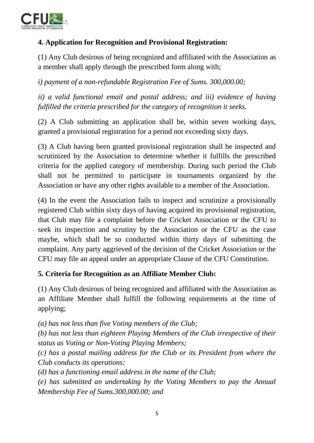

## **4. Application for Recognition and Provisional Registration:**

(1) Any Club desirous of being recognized and affiliated with the Association as a member shall apply through the prescribed form along with;

*i) payment of a non-refundable Registration Fee of Sums. 300,000.00;* 

*ii) a valid functional email and postal address; and iii) evidence of having fulfilled the criteria prescribed for the category of recognition it seeks.* 

(2) A Club submitting an application shall be, within seven working days, granted a provisional registration for a period not exceeding sixty days.

(3) A Club having been granted provisional registration shall be inspected and scrutinized by the Association to determine whether it fulfills the prescribed criteria for the applied category of membership. During such period the Club shall not be permitted to participate in tournaments organized by the Association or have any other rights available to a member of the Association.

(4) In the event the Association fails to inspect and scrutinize a provisionally registered Club within sixty days of having acquired its provisional registration, that Club may file a complaint before the Cricket Association or the CFU to seek its inspection and scrutiny by the Association or the CFU as the case maybe, which shall be so conducted within thirty days of submitting the complaint. Any party aggrieved of the decision of the Cricket Association or the CFU may file an appeal under an appropriate Clause of the CFU Constitution.

#### **5. Criteria for Recognition as an Affiliate Member Club:**

(1) Any Club desirous of being recognized and affiliated with the Association as an Affiliate Member shall fulfill the following requirements at the time of applying;

*(a) has not less than five Voting members of the Club;* 

*(b) has not less than eighteen Playing Members of the Club irrespective of their status as Voting or Non-Voting Playing Members;* 

*(c) has a postal mailing address for the Club or its President from where the Club conducts its operations;* 

*(d) has a functioning email address in the name of the Club;*

*(e) has submitted an undertaking by the Voting Members to pay the Annual Membership Fee of Sums.300,000.00; and*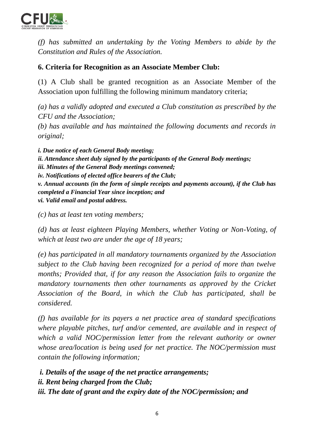

*(f) has submitted an undertaking by the Voting Members to abide by the Constitution and Rules of the Association.* 

#### **6. Criteria for Recognition as an Associate Member Club:**

(1) A Club shall be granted recognition as an Associate Member of the Association upon fulfilling the following minimum mandatory criteria;

*(a) has a validly adopted and executed a Club constitution as prescribed by the CFU and the Association;* 

*(b) has available and has maintained the following documents and records in original;*

*i. Due notice of each General Body meeting; ii. Attendance sheet duly signed by the participants of the General Body meetings; iii. Minutes of the General Body meetings convened; iv. Notifications of elected office bearers of the Club; v. Annual accounts (in the form of simple receipts and payments account), if the Club has completed a Financial Year since inception; and vi. Valid email and postal address.*

*(c) has at least ten voting members;* 

*(d) has at least eighteen Playing Members, whether Voting or Non-Voting, of which at least two are under the age of 18 years;* 

*(e) has participated in all mandatory tournaments organized by the Association subject to the Club having been recognized for a period of more than twelve months; Provided that, if for any reason the Association fails to organize the mandatory tournaments then other tournaments as approved by the Cricket Association of the Board, in which the Club has participated, shall be considered.*

*(f) has available for its payers a net practice area of standard specifications where playable pitches, turf and/or cemented, are available and in respect of which a valid NOC/permission letter from the relevant authority or owner whose area/location is being used for net practice. The NOC/permission must contain the following information;*

*i. Details of the usage of the net practice arrangements; ii. Rent being charged from the Club; iii. The date of grant and the expiry date of the NOC/permission; and*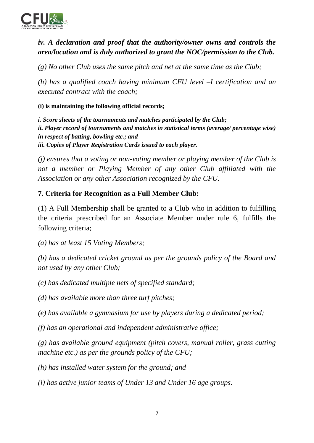

## *iv. A declaration and proof that the authority/owner owns and controls the area/location and is duly authorized to grant the NOC/permission to the Club.*

*(g) No other Club uses the same pitch and net at the same time as the Club;* 

*(h) has a qualified coach having minimum CFU level –I certification and an executed contract with the coach;*

**(i) is maintaining the following official records;** 

*i. Score sheets of the tournaments and matches participated by the Club; ii. Player record of tournaments and matches in statistical terms (average/ percentage wise) in respect of batting, bowling etc.; and iii. Copies of Player Registration Cards issued to each player.*

*(j) ensures that a voting or non-voting member or playing member of the Club is not a member or Playing Member of any other Club affiliated with the Association or any other Association recognized by the CFU.* 

### **7. Criteria for Recognition as a Full Member Club:**

(1) A Full Membership shall be granted to a Club who in addition to fulfilling the criteria prescribed for an Associate Member under rule 6, fulfills the following criteria;

*(a) has at least 15 Voting Members;* 

*(b) has a dedicated cricket ground as per the grounds policy of the Board and not used by any other Club;* 

*(c) has dedicated multiple nets of specified standard;* 

*(d) has available more than three turf pitches;* 

*(e) has available a gymnasium for use by players during a dedicated period;* 

*(f) has an operational and independent administrative office;* 

*(g) has available ground equipment (pitch covers, manual roller, grass cutting machine etc.) as per the grounds policy of the CFU;* 

*(h) has installed water system for the ground; and* 

*(i) has active junior teams of Under 13 and Under 16 age groups.*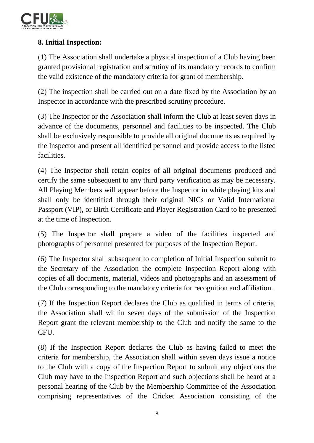

## **8. Initial Inspection:**

(1) The Association shall undertake a physical inspection of a Club having been granted provisional registration and scrutiny of its mandatory records to confirm the valid existence of the mandatory criteria for grant of membership.

(2) The inspection shall be carried out on a date fixed by the Association by an Inspector in accordance with the prescribed scrutiny procedure.

(3) The Inspector or the Association shall inform the Club at least seven days in advance of the documents, personnel and facilities to be inspected. The Club shall be exclusively responsible to provide all original documents as required by the Inspector and present all identified personnel and provide access to the listed facilities.

(4) The Inspector shall retain copies of all original documents produced and certify the same subsequent to any third party verification as may be necessary. All Playing Members will appear before the Inspector in white playing kits and shall only be identified through their original NICs or Valid International Passport (VIP), or Birth Certificate and Player Registration Card to be presented at the time of Inspection.

(5) The Inspector shall prepare a video of the facilities inspected and photographs of personnel presented for purposes of the Inspection Report.

(6) The Inspector shall subsequent to completion of Initial Inspection submit to the Secretary of the Association the complete Inspection Report along with copies of all documents, material, videos and photographs and an assessment of the Club corresponding to the mandatory criteria for recognition and affiliation.

(7) If the Inspection Report declares the Club as qualified in terms of criteria, the Association shall within seven days of the submission of the Inspection Report grant the relevant membership to the Club and notify the same to the CFU.

(8) If the Inspection Report declares the Club as having failed to meet the criteria for membership, the Association shall within seven days issue a notice to the Club with a copy of the Inspection Report to submit any objections the Club may have to the Inspection Report and such objections shall be heard at a personal hearing of the Club by the Membership Committee of the Association comprising representatives of the Cricket Association consisting of the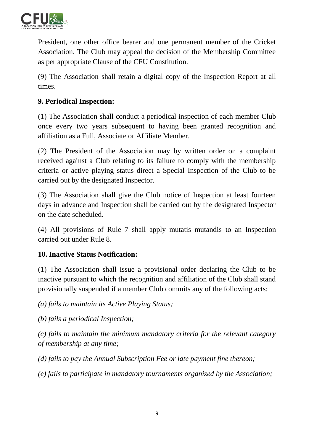

President, one other office bearer and one permanent member of the Cricket Association. The Club may appeal the decision of the Membership Committee as per appropriate Clause of the CFU Constitution.

(9) The Association shall retain a digital copy of the Inspection Report at all times.

## **9. Periodical Inspection:**

(1) The Association shall conduct a periodical inspection of each member Club once every two years subsequent to having been granted recognition and affiliation as a Full, Associate or Affiliate Member.

(2) The President of the Association may by written order on a complaint received against a Club relating to its failure to comply with the membership criteria or active playing status direct a Special Inspection of the Club to be carried out by the designated Inspector.

(3) The Association shall give the Club notice of Inspection at least fourteen days in advance and Inspection shall be carried out by the designated Inspector on the date scheduled.

(4) All provisions of Rule 7 shall apply mutatis mutandis to an Inspection carried out under Rule 8.

#### **10. Inactive Status Notification:**

(1) The Association shall issue a provisional order declaring the Club to be inactive pursuant to which the recognition and affiliation of the Club shall stand provisionally suspended if a member Club commits any of the following acts:

*(a) fails to maintain its Active Playing Status;* 

*(b) fails a periodical Inspection;* 

*(c) fails to maintain the minimum mandatory criteria for the relevant category of membership at any time;*

*(d) fails to pay the Annual Subscription Fee or late payment fine thereon;* 

*(e) fails to participate in mandatory tournaments organized by the Association;*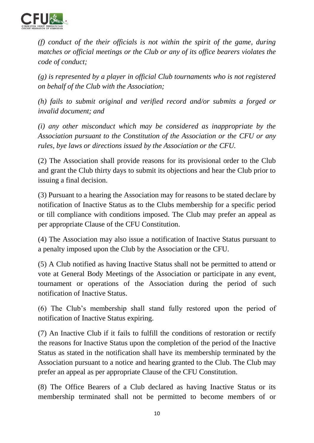

*(f) conduct of the their officials is not within the spirit of the game, during matches or official meetings or the Club or any of its office bearers violates the code of conduct;* 

*(g) is represented by a player in official Club tournaments who is not registered on behalf of the Club with the Association;* 

*(h) fails to submit original and verified record and/or submits a forged or invalid document; and* 

*(i) any other misconduct which may be considered as inappropriate by the Association pursuant to the Constitution of the Association or the CFU or any rules, bye laws or directions issued by the Association or the CFU.*

(2) The Association shall provide reasons for its provisional order to the Club and grant the Club thirty days to submit its objections and hear the Club prior to issuing a final decision.

(3) Pursuant to a hearing the Association may for reasons to be stated declare by notification of Inactive Status as to the Clubs membership for a specific period or till compliance with conditions imposed. The Club may prefer an appeal as per appropriate Clause of the CFU Constitution.

(4) The Association may also issue a notification of Inactive Status pursuant to a penalty imposed upon the Club by the Association or the CFU.

(5) A Club notified as having Inactive Status shall not be permitted to attend or vote at General Body Meetings of the Association or participate in any event, tournament or operations of the Association during the period of such notification of Inactive Status.

(6) The Club's membership shall stand fully restored upon the period of notification of Inactive Status expiring.

(7) An Inactive Club if it fails to fulfill the conditions of restoration or rectify the reasons for Inactive Status upon the completion of the period of the Inactive Status as stated in the notification shall have its membership terminated by the Association pursuant to a notice and hearing granted to the Club. The Club may prefer an appeal as per appropriate Clause of the CFU Constitution.

(8) The Office Bearers of a Club declared as having Inactive Status or its membership terminated shall not be permitted to become members of or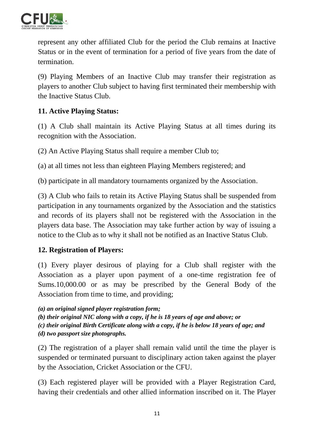

represent any other affiliated Club for the period the Club remains at Inactive Status or in the event of termination for a period of five years from the date of termination.

(9) Playing Members of an Inactive Club may transfer their registration as players to another Club subject to having first terminated their membership with the Inactive Status Club.

### **11. Active Playing Status:**

(1) A Club shall maintain its Active Playing Status at all times during its recognition with the Association.

(2) An Active Playing Status shall require a member Club to;

(a) at all times not less than eighteen Playing Members registered; and

(b) participate in all mandatory tournaments organized by the Association.

(3) A Club who fails to retain its Active Playing Status shall be suspended from participation in any tournaments organized by the Association and the statistics and records of its players shall not be registered with the Association in the players data base. The Association may take further action by way of issuing a notice to the Club as to why it shall not be notified as an Inactive Status Club.

#### **12. Registration of Players:**

(1) Every player desirous of playing for a Club shall register with the Association as a player upon payment of a one-time registration fee of Sums.10,000.00 or as may be prescribed by the General Body of the Association from time to time, and providing;

*(a) an original signed player registration form;* 

*(b) their original NIC along with a copy, if he is 18 years of age and above; or (c) their original Birth Certificate along with a copy, if he is below 18 years of age; and (d) two passport size photographs.*

(2) The registration of a player shall remain valid until the time the player is suspended or terminated pursuant to disciplinary action taken against the player by the Association, Cricket Association or the CFU.

(3) Each registered player will be provided with a Player Registration Card, having their credentials and other allied information inscribed on it. The Player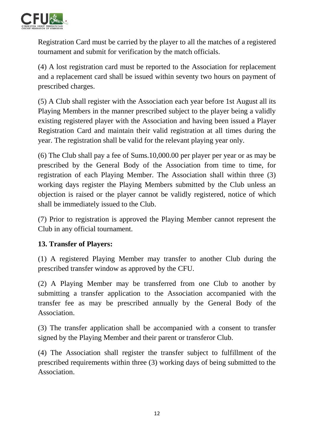

Registration Card must be carried by the player to all the matches of a registered tournament and submit for verification by the match officials.

(4) A lost registration card must be reported to the Association for replacement and a replacement card shall be issued within seventy two hours on payment of prescribed charges.

(5) A Club shall register with the Association each year before 1st August all its Playing Members in the manner prescribed subject to the player being a validly existing registered player with the Association and having been issued a Player Registration Card and maintain their valid registration at all times during the year. The registration shall be valid for the relevant playing year only.

(6) The Club shall pay a fee of Sums.10,000.00 per player per year or as may be prescribed by the General Body of the Association from time to time, for registration of each Playing Member. The Association shall within three (3) working days register the Playing Members submitted by the Club unless an objection is raised or the player cannot be validly registered, notice of which shall be immediately issued to the Club.

(7) Prior to registration is approved the Playing Member cannot represent the Club in any official tournament.

#### **13. Transfer of Players:**

(1) A registered Playing Member may transfer to another Club during the prescribed transfer window as approved by the CFU.

(2) A Playing Member may be transferred from one Club to another by submitting a transfer application to the Association accompanied with the transfer fee as may be prescribed annually by the General Body of the Association.

(3) The transfer application shall be accompanied with a consent to transfer signed by the Playing Member and their parent or transferor Club.

(4) The Association shall register the transfer subject to fulfillment of the prescribed requirements within three (3) working days of being submitted to the Association.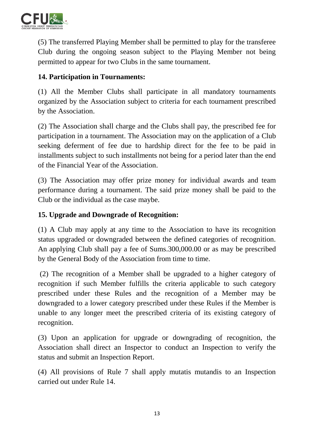

(5) The transferred Playing Member shall be permitted to play for the transferee Club during the ongoing season subject to the Playing Member not being permitted to appear for two Clubs in the same tournament.

## **14. Participation in Tournaments:**

(1) All the Member Clubs shall participate in all mandatory tournaments organized by the Association subject to criteria for each tournament prescribed by the Association.

(2) The Association shall charge and the Clubs shall pay, the prescribed fee for participation in a tournament. The Association may on the application of a Club seeking deferment of fee due to hardship direct for the fee to be paid in installments subject to such installments not being for a period later than the end of the Financial Year of the Association.

(3) The Association may offer prize money for individual awards and team performance during a tournament. The said prize money shall be paid to the Club or the individual as the case maybe.

#### **15. Upgrade and Downgrade of Recognition:**

(1) A Club may apply at any time to the Association to have its recognition status upgraded or downgraded between the defined categories of recognition. An applying Club shall pay a fee of Sums.300,000.00 or as may be prescribed by the General Body of the Association from time to time.

(2) The recognition of a Member shall be upgraded to a higher category of recognition if such Member fulfills the criteria applicable to such category prescribed under these Rules and the recognition of a Member may be downgraded to a lower category prescribed under these Rules if the Member is unable to any longer meet the prescribed criteria of its existing category of recognition.

(3) Upon an application for upgrade or downgrading of recognition, the Association shall direct an Inspector to conduct an Inspection to verify the status and submit an Inspection Report.

(4) All provisions of Rule 7 shall apply mutatis mutandis to an Inspection carried out under Rule 14.